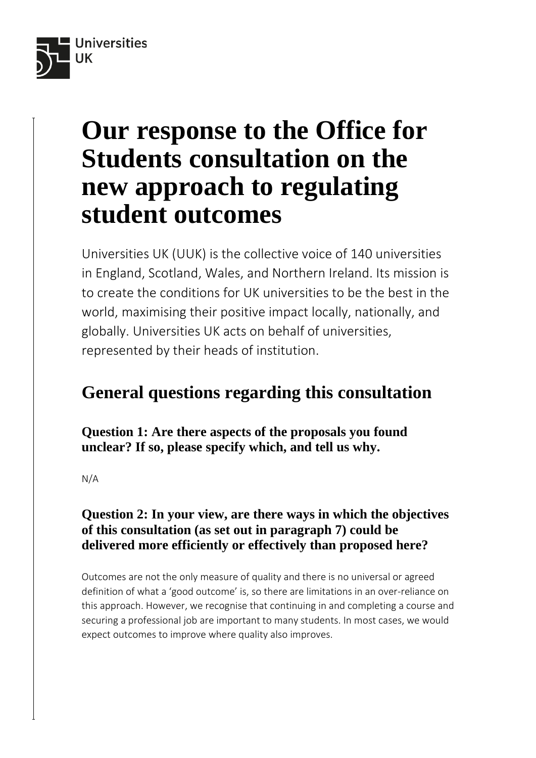

# **Our response to the Office for Students consultation on the new approach to regulating student outcomes**

Universities UK (UUK) is the collective voice of 140 universities in England, Scotland, Wales, and Northern Ireland. Its mission is to create the conditions for UK universities to be the best in the world, maximising their positive impact locally, nationally, and globally. Universities UK acts on behalf of universities, represented by their heads of institution.

## **General questions regarding this consultation**

**Question 1: Are there aspects of the proposals you found unclear? If so, please specify which, and tell us why.**

N/A

## **Question 2: In your view, are there ways in which the objectives of this consultation (as set out in paragraph 7) could be delivered more efficiently or effectively than proposed here?**

Outcomes are not the only measure of quality and there is no universal or agreed definition of what a 'good outcome' is, so there are limitations in an over-reliance on this approach. However, we recognise that continuing in and completing a course and securing a professional job are important to many students. In most cases, we would expect outcomes to improve where quality also improves.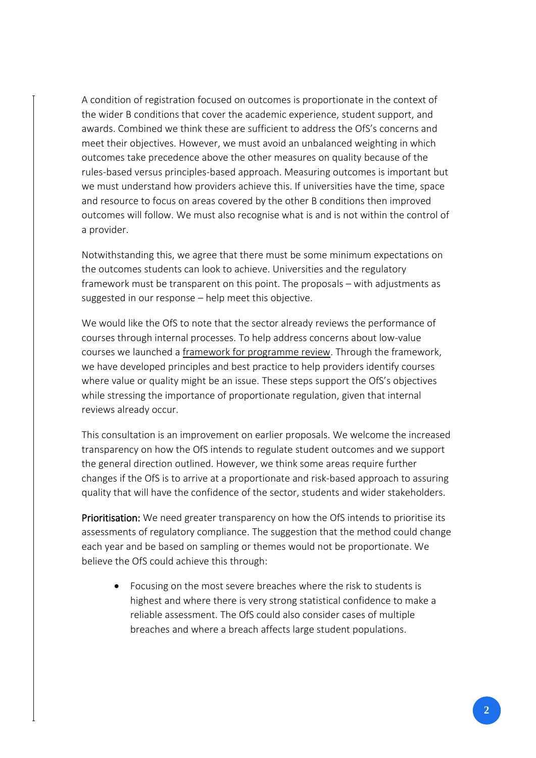A condition of registration focused on outcomes is proportionate in the context of the wider B conditions that cover the academic experience, student support, and awards. Combined we think these are sufficient to address the OfS's concerns and meet their objectives. However, we must avoid an unbalanced weighting in which outcomes take precedence above the other measures on quality because of the rules-based versus principles-based approach. Measuring outcomes is important but we must understand how providers achieve this. If universities have the time, space and resource to focus on areas covered by the other B conditions then improved outcomes will follow. We must also recognise what is and is not within the control of a provider.

Notwithstanding this, we agree that there must be some minimum expectations on the outcomes students can look to achieve. Universities and the regulatory framework must be transparent on this point. The proposals – with adjustments as suggested in our response – help meet this objective.

We would like the OfS to note that the sector already reviews the performance of courses through internal processes. To help address concerns about low-value courses we launched a [framework for programme review.](https://www.universitiesuk.ac.uk/what-we-do/policy-and-research/publications/framework-programme-reviews-ensuring) Through the framework, we have developed principles and best practice to help providers identify courses where value or quality might be an issue. These steps support the OfS's objectives while stressing the importance of proportionate regulation, given that internal reviews already occur.

This consultation is an improvement on earlier proposals. We welcome the increased transparency on how the OfS intends to regulate student outcomes and we support the general direction outlined. However, we think some areas require further changes if the OfS is to arrive at a proportionate and risk-based approach to assuring quality that will have the confidence of the sector, students and wider stakeholders.

Prioritisation: We need greater transparency on how the OfS intends to prioritise its assessments of regulatory compliance. The suggestion that the method could change each year and be based on sampling or themes would not be proportionate. We believe the OfS could achieve this through:

• Focusing on the most severe breaches where the risk to students is highest and where there is very strong statistical confidence to make a reliable assessment. The OfS could also consider cases of multiple breaches and where a breach affects large student populations.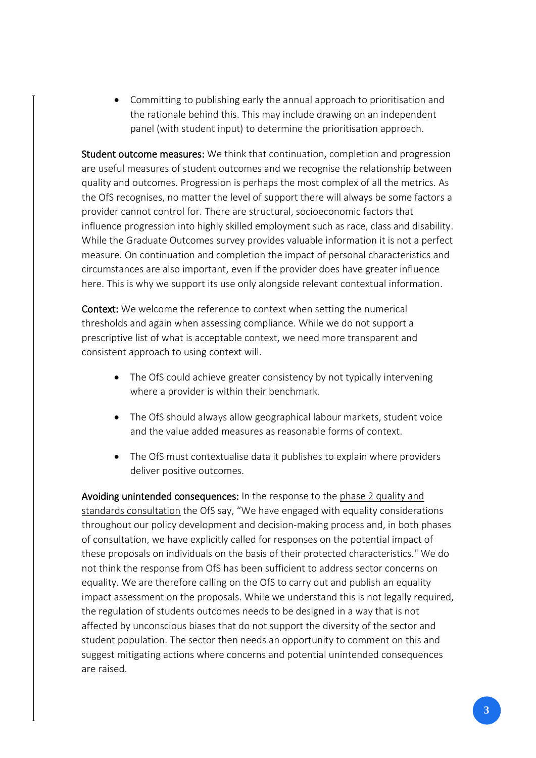• Committing to publishing early the annual approach to prioritisation and the rationale behind this. This may include drawing on an independent panel (with student input) to determine the prioritisation approach.

Student outcome measures: We think that continuation, completion and progression are useful measures of student outcomes and we recognise the relationship between quality and outcomes. Progression is perhaps the most complex of all the metrics. As the OfS recognises, no matter the level of support there will always be some factors a provider cannot control for. There are structural, socioeconomic factors that influence progression into highly skilled employment such as race, class and disability. While the Graduate Outcomes survey provides valuable information it is not a perfect measure. On continuation and completion the impact of personal characteristics and circumstances are also important, even if the provider does have greater influence here. This is why we support its use only alongside relevant contextual information.

Context: We welcome the reference to context when setting the numerical thresholds and again when assessing compliance. While we do not support a prescriptive list of what is acceptable context, we need more transparent and consistent approach to using context will.

- The OfS could achieve greater consistency by not typically intervening where a provider is within their benchmark.
- The OfS should always allow geographical labour markets, student voice and the value added measures as reasonable forms of context.
- The OfS must contextualise data it publishes to explain where providers deliver positive outcomes.

Avoiding unintended consequences: In the response to the [phase 2 quality and](https://www.officeforstudents.org.uk/publications/consultation-on-quality-and-standards-conditions-outcomes/)  [standards consultation](https://www.officeforstudents.org.uk/publications/consultation-on-quality-and-standards-conditions-outcomes/) the OfS say, "We have engaged with equality considerations throughout our policy development and decision-making process and, in both phases of consultation, we have explicitly called for responses on the potential impact of these proposals on individuals on the basis of their protected characteristics." We do not think the response from OfS has been sufficient to address sector concerns on equality. We are therefore calling on the OfS to carry out and publish an equality impact assessment on the proposals. While we understand this is not legally required, the regulation of students outcomes needs to be designed in a way that is not affected by unconscious biases that do not support the diversity of the sector and student population. The sector then needs an opportunity to comment on this and suggest mitigating actions where concerns and potential unintended consequences are raised.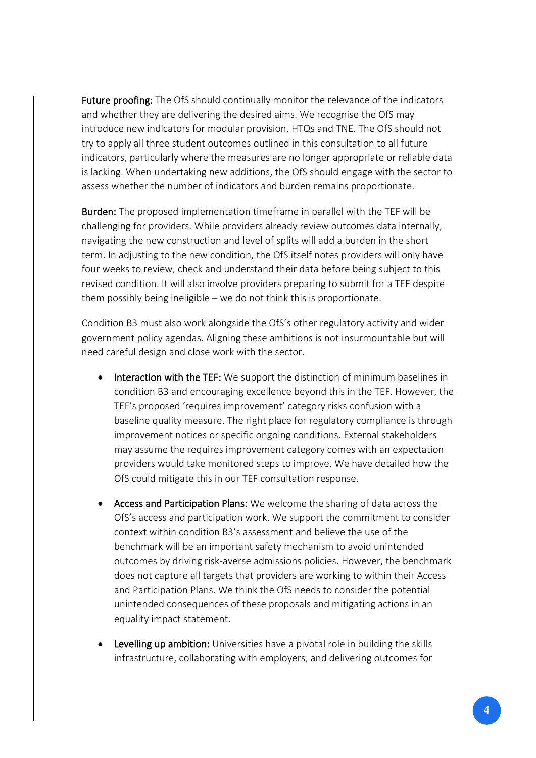Future proofing: The OfS should continually monitor the relevance of the indicators and whether they are delivering the desired aims. We recognise the OfS may introduce new indicators for modular provision, HTQs and TNE. The OfS should not try to apply all three student outcomes outlined in this consultation to all future indicators, particularly where the measures are no longer appropriate or reliable data is lacking. When undertaking new additions, the OfS should engage with the sector to assess whether the number of indicators and burden remains proportionate.

Burden: The proposed implementation timeframe in parallel with the TEF will be challenging for providers. While providers already review outcomes data internally, navigating the new construction and level of splits will add a burden in the short term. In adjusting to the new condition, the OfS itself notes providers will only have four weeks to review, check and understand their data before being subject to this revised condition. It will also involve providers preparing to submit for a TEF despite them possibly being ineligible – we do not think this is proportionate.

Condition B3 must also work alongside the OfS's other regulatory activity and wider government policy agendas. Aligning these ambitions is not insurmountable but will need careful design and close work with the sector.

- Interaction with the TEF: We support the distinction of minimum baselines in condition B3 and encouraging excellence beyond this in the TEF. However, the TEF's proposed 'requires improvement' category risks confusion with a baseline quality measure. The right place for regulatory compliance is through improvement notices or specific ongoing conditions. External stakeholders may assume the requires improvement category comes with an expectation providers would take monitored steps to improve. We have detailed how the OfS could mitigate this in our TEF consultation response.
- Access and Participation Plans: We welcome the sharing of data across the OfS's access and participation work. We support the commitment to consider context within condition B3's assessment and believe the use of the benchmark will be an important safety mechanism to avoid unintended outcomes by driving risk-averse admissions policies. However, the benchmark does not capture all targets that providers are working to within their Access and Participation Plans. We think the OfS needs to consider the potential unintended consequences of these proposals and mitigating actions in an equality impact statement.
- Levelling up ambition: Universities have a pivotal role in building the skills infrastructure, collaborating with employers, and delivering outcomes for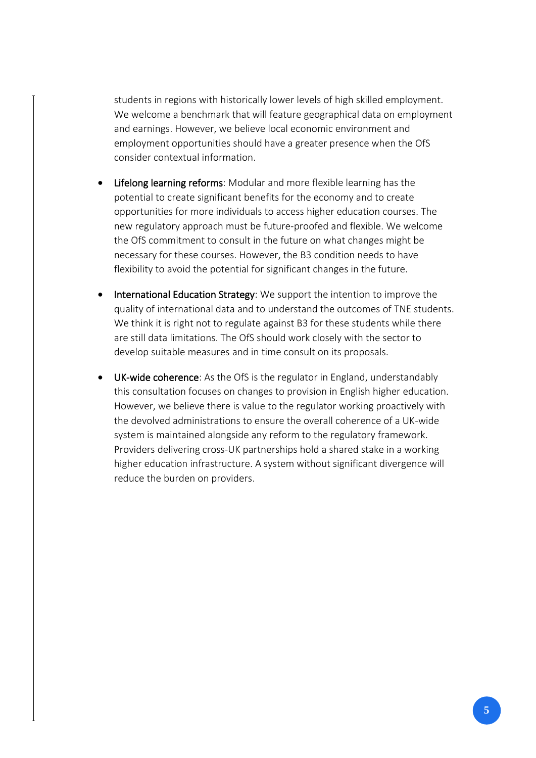students in regions with historically lower levels of high skilled employment. We welcome a benchmark that will feature geographical data on employment and earnings. However, we believe local economic environment and employment opportunities should have a greater presence when the OfS consider contextual information.

- Lifelong learning reforms: Modular and more flexible learning has the potential to create significant benefits for the economy and to create opportunities for more individuals to access higher education courses. The new regulatory approach must be future-proofed and flexible. We welcome the OfS commitment to consult in the future on what changes might be necessary for these courses. However, the B3 condition needs to have flexibility to avoid the potential for significant changes in the future.
- International Education Strategy: We support the intention to improve the quality of international data and to understand the outcomes of TNE students. We think it is right not to regulate against B3 for these students while there are still data limitations. The OfS should work closely with the sector to develop suitable measures and in time consult on its proposals.
- UK-wide coherence: As the OfS is the regulator in England, understandably this consultation focuses on changes to provision in English higher education. However, we believe there is value to the regulator working proactively with the devolved administrations to ensure the overall coherence of a UK-wide system is maintained alongside any reform to the regulatory framework. Providers delivering cross-UK partnerships hold a shared stake in a working higher education infrastructure. A system without significant divergence will reduce the burden on providers.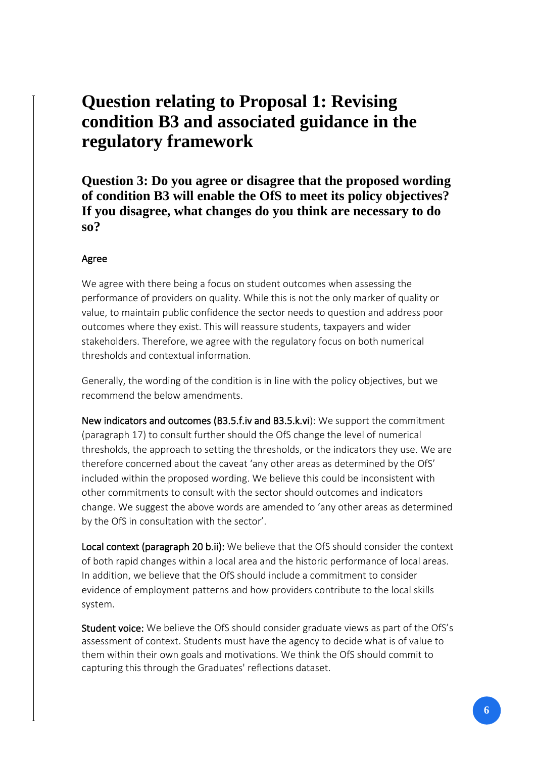## **Question relating to Proposal 1: Revising condition B3 and associated guidance in the regulatory framework**

**Question 3: Do you agree or disagree that the proposed wording of condition B3 will enable the OfS to meet its policy objectives? If you disagree, what changes do you think are necessary to do so?**

### Agree

We agree with there being a focus on student outcomes when assessing the performance of providers on quality. While this is not the only marker of quality or value, to maintain public confidence the sector needs to question and address poor outcomes where they exist. This will reassure students, taxpayers and wider stakeholders. Therefore, we agree with the regulatory focus on both numerical thresholds and contextual information.

Generally, the wording of the condition is in line with the policy objectives, but we recommend the below amendments.

New indicators and outcomes (B3.5.f.iv and B3.5.k.vi): We support the commitment (paragraph 17) to consult further should the OfS change the level of numerical thresholds, the approach to setting the thresholds, or the indicators they use. We are therefore concerned about the caveat 'any other areas as determined by the OfS' included within the proposed wording. We believe this could be inconsistent with other commitments to consult with the sector should outcomes and indicators change. We suggest the above words are amended to 'any other areas as determined by the OfS in consultation with the sector'.

Local context (paragraph 20 b.ii): We believe that the OfS should consider the context of both rapid changes within a local area and the historic performance of local areas. In addition, we believe that the OfS should include a commitment to consider evidence of employment patterns and how providers contribute to the local skills system.

Student voice: We believe the OfS should consider graduate views as part of the OfS's assessment of context. Students must have the agency to decide what is of value to them within their own goals and motivations. We think the OfS should commit to capturing this through the Graduates' reflections dataset.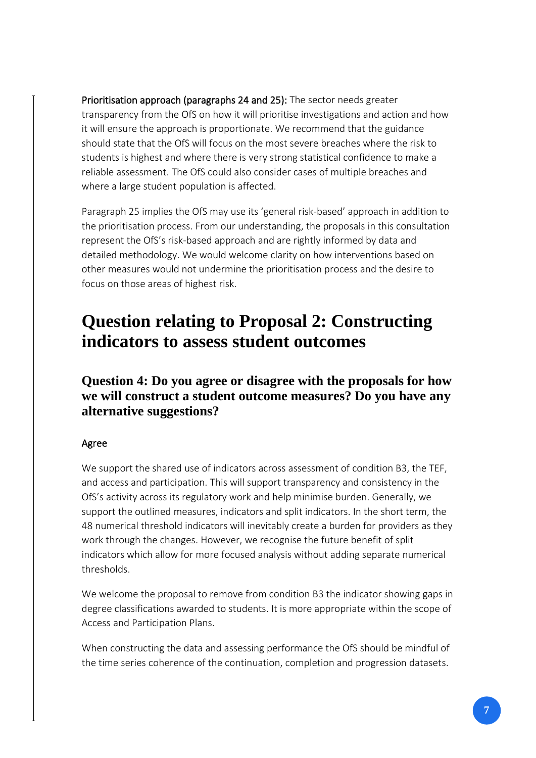Prioritisation approach (paragraphs 24 and 25): The sector needs greater transparency from the OfS on how it will prioritise investigations and action and how it will ensure the approach is proportionate. We recommend that the guidance should state that the OfS will focus on the most severe breaches where the risk to students is highest and where there is very strong statistical confidence to make a reliable assessment. The OfS could also consider cases of multiple breaches and where a large student population is affected.

Paragraph 25 implies the OfS may use its 'general risk-based' approach in addition to the prioritisation process. From our understanding, the proposals in this consultation represent the OfS's risk-based approach and are rightly informed by data and detailed methodology. We would welcome clarity on how interventions based on other measures would not undermine the prioritisation process and the desire to focus on those areas of highest risk.

## **Question relating to Proposal 2: Constructing indicators to assess student outcomes**

**Question 4: Do you agree or disagree with the proposals for how we will construct a student outcome measures? Do you have any alternative suggestions?**

## Agree

We support the shared use of indicators across assessment of condition B3, the TEF, and access and participation. This will support transparency and consistency in the OfS's activity across its regulatory work and help minimise burden. Generally, we support the outlined measures, indicators and split indicators. In the short term, the 48 numerical threshold indicators will inevitably create a burden for providers as they work through the changes. However, we recognise the future benefit of split indicators which allow for more focused analysis without adding separate numerical thresholds.

We welcome the proposal to remove from condition B3 the indicator showing gaps in degree classifications awarded to students. It is more appropriate within the scope of Access and Participation Plans.

When constructing the data and assessing performance the OfS should be mindful of the time series coherence of the continuation, completion and progression datasets.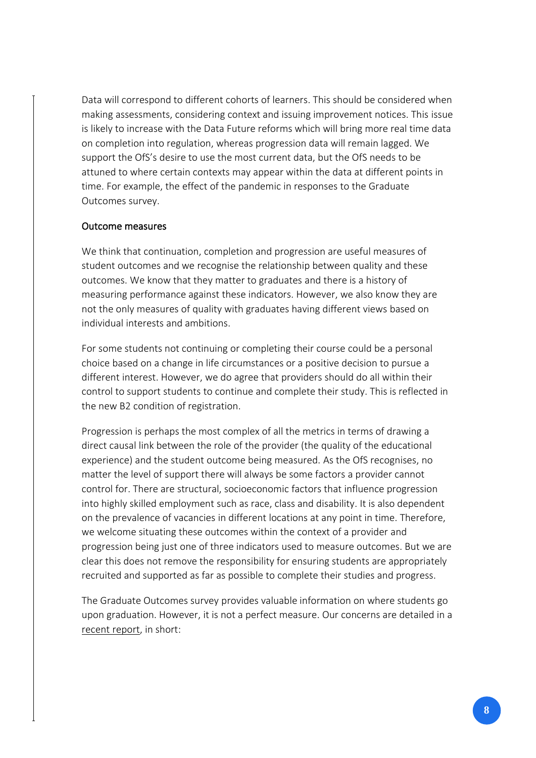Data will correspond to different cohorts of learners. This should be considered when making assessments, considering context and issuing improvement notices. This issue is likely to increase with the Data Future reforms which will bring more real time data on completion into regulation, whereas progression data will remain lagged. We support the OfS's desire to use the most current data, but the OfS needs to be attuned to where certain contexts may appear within the data at different points in time. For example, the effect of the pandemic in responses to the Graduate Outcomes survey.

#### Outcome measures

We think that continuation, completion and progression are useful measures of student outcomes and we recognise the relationship between quality and these outcomes. We know that they matter to graduates and there is a history of measuring performance against these indicators. However, we also know they are not the only measures of quality with graduates having different views based on individual interests and ambitions.

For some students not continuing or completing their course could be a personal choice based on a change in life circumstances or a positive decision to pursue a different interest. However, we do agree that providers should do all within their control to support students to continue and complete their study. This is reflected in the new B2 condition of registration.

Progression is perhaps the most complex of all the metrics in terms of drawing a direct causal link between the role of the provider (the quality of the educational experience) and the student outcome being measured. As the OfS recognises, no matter the level of support there will always be some factors a provider cannot control for. There are structural, socioeconomic factors that influence progression into highly skilled employment such as race, class and disability. It is also dependent on the prevalence of vacancies in different locations at any point in time. Therefore, we welcome situating these outcomes within the context of a provider and progression being just one of three indicators used to measure outcomes. But we are clear this does not remove the responsibility for ensuring students are appropriately recruited and supported as far as possible to complete their studies and progress.

The Graduate Outcomes survey provides valuable information on where students go upon graduation. However, it is not a perfect measure. Our concerns are detailed in a [recent report,](https://www.universitiesuk.ac.uk/what-we-do/policy-and-research/publications/graduate-employment-its-limits-measuring) in short: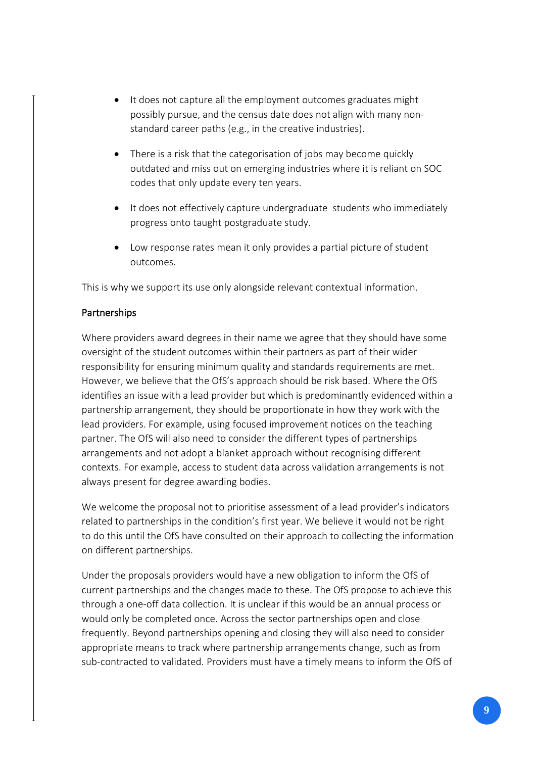- It does not capture all the employment outcomes graduates might possibly pursue, and the census date does not align with many nonstandard career paths (e.g., in the creative industries).
- There is a risk that the categorisation of jobs may become quickly outdated and miss out on emerging industries where it is reliant on SOC codes that only update every ten years.
- It does not effectively capture undergraduate students who immediately progress onto taught postgraduate study.
- Low response rates mean it only provides a partial picture of student outcomes.

This is why we support its use only alongside relevant contextual information.

## Partnerships

Where providers award degrees in their name we agree that they should have some oversight of the student outcomes within their partners as part of their wider responsibility for ensuring minimum quality and standards requirements are met. However, we believe that the OfS's approach should be risk based. Where the OfS identifies an issue with a lead provider but which is predominantly evidenced within a partnership arrangement, they should be proportionate in how they work with the lead providers. For example, using focused improvement notices on the teaching partner. The OfS will also need to consider the different types of partnerships arrangements and not adopt a blanket approach without recognising different contexts. For example, access to student data across validation arrangements is not always present for degree awarding bodies.

We welcome the proposal not to prioritise assessment of a lead provider's indicators related to partnerships in the condition's first year. We believe it would not be right to do this until the OfS have consulted on their approach to collecting the information on different partnerships.

Under the proposals providers would have a new obligation to inform the OfS of current partnerships and the changes made to these. The OfS propose to achieve this through a one-off data collection. It is unclear if this would be an annual process or would only be completed once. Across the sector partnerships open and close frequently. Beyond partnerships opening and closing they will also need to consider appropriate means to track where partnership arrangements change, such as from sub-contracted to validated. Providers must have a timely means to inform the OfS of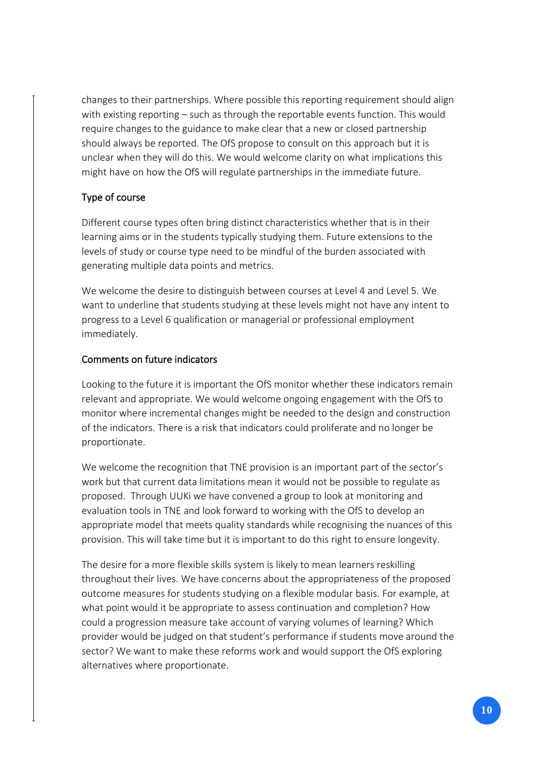changes to their partnerships. Where possible this reporting requirement should align with existing reporting – such as through the reportable events function. This would require changes to the guidance to make clear that a new or closed partnership should always be reported. The OfS propose to consult on this approach but it is unclear when they will do this. We would welcome clarity on what implications this might have on how the OfS will regulate partnerships in the immediate future.

## Type of course

Different course types often bring distinct characteristics whether that is in their learning aims or in the students typically studying them. Future extensions to the levels of study or course type need to be mindful of the burden associated with generating multiple data points and metrics.

We welcome the desire to distinguish between courses at Level 4 and Level 5. We want to underline that students studying at these levels might not have any intent to progress to a Level 6 qualification or managerial or professional employment immediately.

### Comments on future indicators

Looking to the future it is important the OfS monitor whether these indicators remain relevant and appropriate. We would welcome ongoing engagement with the OfS to monitor where incremental changes might be needed to the design and construction of the indicators. There is a risk that indicators could proliferate and no longer be proportionate.

We welcome the recognition that TNE provision is an important part of the sector's work but that current data limitations mean it would not be possible to regulate as proposed. Through UUKi we have convened a group to look at monitoring and evaluation tools in TNE and look forward to working with the OfS to develop an appropriate model that meets quality standards while recognising the nuances of this provision. This will take time but it is important to do this right to ensure longevity.

The desire for a more flexible skills system is likely to mean learners reskilling throughout their lives. We have concerns about the appropriateness of the proposed outcome measures for students studying on a flexible modular basis. For example, at what point would it be appropriate to assess continuation and completion? How could a progression measure take account of varying volumes of learning? Which provider would be judged on that student's performance if students move around the sector? We want to make these reforms work and would support the OfS exploring alternatives where proportionate.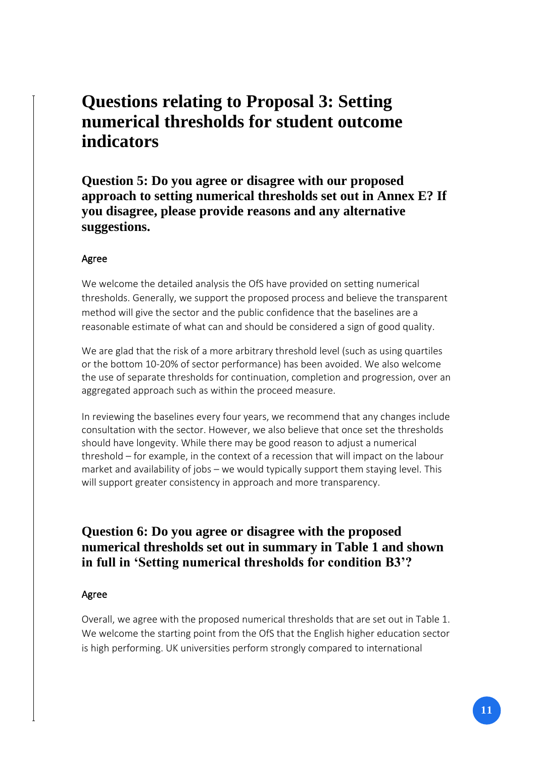## **Questions relating to Proposal 3: Setting numerical thresholds for student outcome indicators**

**Question 5: Do you agree or disagree with our proposed approach to setting numerical thresholds set out in Annex E? If you disagree, please provide reasons and any alternative suggestions.**

### Agree

We welcome the detailed analysis the OfS have provided on setting numerical thresholds. Generally, we support the proposed process and believe the transparent method will give the sector and the public confidence that the baselines are a reasonable estimate of what can and should be considered a sign of good quality.

We are glad that the risk of a more arbitrary threshold level (such as using quartiles or the bottom 10-20% of sector performance) has been avoided. We also welcome the use of separate thresholds for continuation, completion and progression, over an aggregated approach such as within the proceed measure.

In reviewing the baselines every four years, we recommend that any changes include consultation with the sector. However, we also believe that once set the thresholds should have longevity. While there may be good reason to adjust a numerical threshold – for example, in the context of a recession that will impact on the labour market and availability of jobs – we would typically support them staying level. This will support greater consistency in approach and more transparency.

## **Question 6: Do you agree or disagree with the proposed numerical thresholds set out in summary in Table 1 and shown in full in 'Setting numerical thresholds for condition B3'?**

## Agree

Overall, we agree with the proposed numerical thresholds that are set out in Table 1. We welcome the starting point from the OfS that the English higher education sector is high performing. UK universities perform strongly compared to international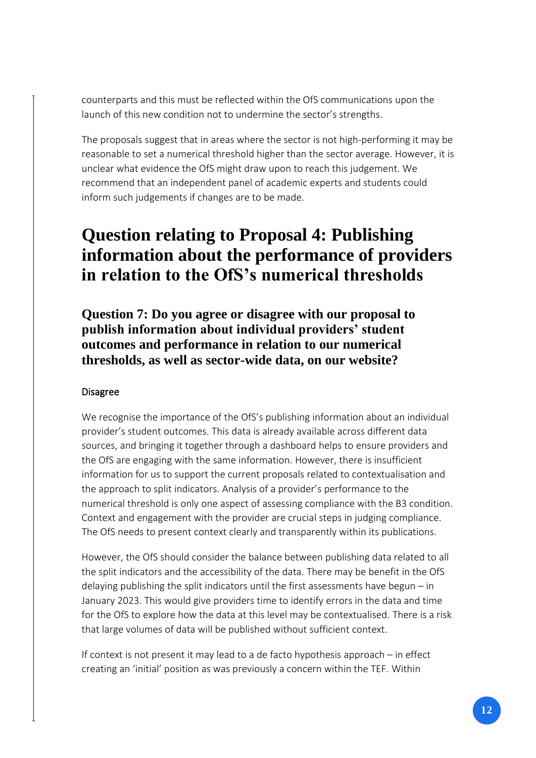counterparts and this must be reflected within the OfS communications upon the launch of this new condition not to undermine the sector's strengths.

The proposals suggest that in areas where the sector is not high-performing it may be reasonable to set a numerical threshold higher than the sector average. However, it is unclear what evidence the OfS might draw upon to reach this judgement. We recommend that an independent panel of academic experts and students could inform such judgements if changes are to be made.

## **Question relating to Proposal 4: Publishing information about the performance of providers in relation to the OfS's numerical thresholds**

**Question 7: Do you agree or disagree with our proposal to publish information about individual providers' student outcomes and performance in relation to our numerical thresholds, as well as sector-wide data, on our website?**

## Disagree

We recognise the importance of the OfS's publishing information about an individual provider's student outcomes. This data is already available across different data sources, and bringing it together through a dashboard helps to ensure providers and the OfS are engaging with the same information. However, there is insufficient information for us to support the current proposals related to contextualisation and the approach to split indicators. Analysis of a provider's performance to the numerical threshold is only one aspect of assessing compliance with the B3 condition. Context and engagement with the provider are crucial steps in judging compliance. The OfS needs to present context clearly and transparently within its publications.

However, the OfS should consider the balance between publishing data related to all the split indicators and the accessibility of the data. There may be benefit in the OfS delaying publishing the split indicators until the first assessments have begun – in January 2023. This would give providers time to identify errors in the data and time for the OfS to explore how the data at this level may be contextualised. There is a risk that large volumes of data will be published without sufficient context.

If context is not present it may lead to a de facto hypothesis approach – in effect creating an 'initial' position as was previously a concern within the TEF. Within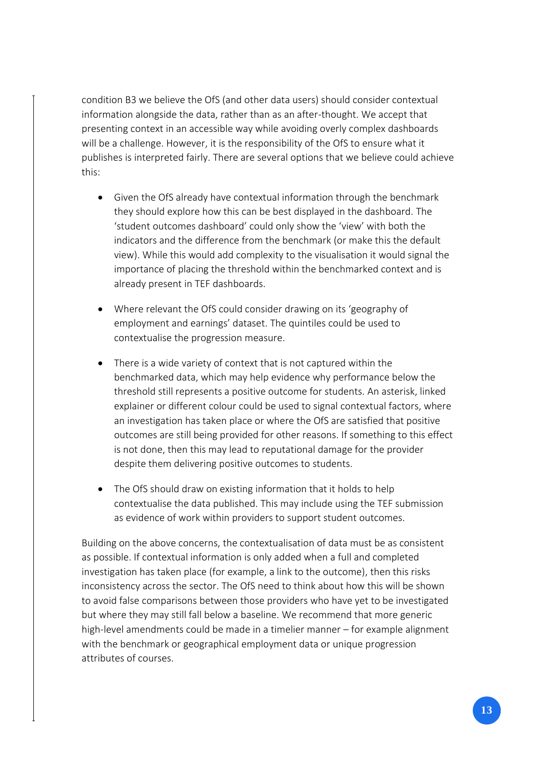condition B3 we believe the OfS (and other data users) should consider contextual information alongside the data, rather than as an after-thought. We accept that presenting context in an accessible way while avoiding overly complex dashboards will be a challenge. However, it is the responsibility of the OfS to ensure what it publishes is interpreted fairly. There are several options that we believe could achieve this:

- Given the OfS already have contextual information through the benchmark they should explore how this can be best displayed in the dashboard. The 'student outcomes dashboard' could only show the 'view' with both the indicators and the difference from the benchmark (or make this the default view). While this would add complexity to the visualisation it would signal the importance of placing the threshold within the benchmarked context and is already present in TEF dashboards.
- Where relevant the OfS could consider drawing on its 'geography of employment and earnings' dataset. The quintiles could be used to contextualise the progression measure.
- There is a wide variety of context that is not captured within the benchmarked data, which may help evidence why performance below the threshold still represents a positive outcome for students. An asterisk, linked explainer or different colour could be used to signal contextual factors, where an investigation has taken place or where the OfS are satisfied that positive outcomes are still being provided for other reasons. If something to this effect is not done, then this may lead to reputational damage for the provider despite them delivering positive outcomes to students.
- The OfS should draw on existing information that it holds to help contextualise the data published. This may include using the TEF submission as evidence of work within providers to support student outcomes.

Building on the above concerns, the contextualisation of data must be as consistent as possible. If contextual information is only added when a full and completed investigation has taken place (for example, a link to the outcome), then this risks inconsistency across the sector. The OfS need to think about how this will be shown to avoid false comparisons between those providers who have yet to be investigated but where they may still fall below a baseline. We recommend that more generic high-level amendments could be made in a timelier manner – for example alignment with the benchmark or geographical employment data or unique progression attributes of courses.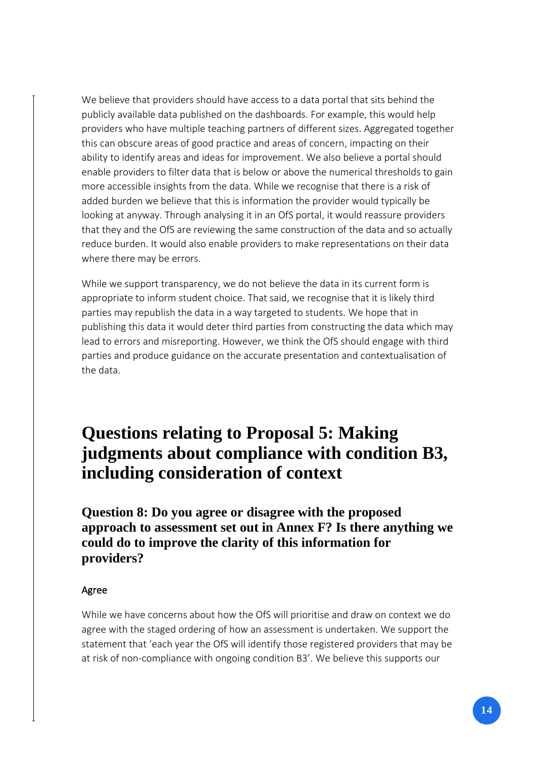We believe that providers should have access to a data portal that sits behind the publicly available data published on the dashboards. For example, this would help providers who have multiple teaching partners of different sizes. Aggregated together this can obscure areas of good practice and areas of concern, impacting on their ability to identify areas and ideas for improvement. We also believe a portal should enable providers to filter data that is below or above the numerical thresholds to gain more accessible insights from the data. While we recognise that there is a risk of added burden we believe that this is information the provider would typically be looking at anyway. Through analysing it in an OfS portal, it would reassure providers that they and the OfS are reviewing the same construction of the data and so actually reduce burden. It would also enable providers to make representations on their data where there may be errors.

While we support transparency, we do not believe the data in its current form is appropriate to inform student choice. That said, we recognise that it is likely third parties may republish the data in a way targeted to students. We hope that in publishing this data it would deter third parties from constructing the data which may lead to errors and misreporting. However, we think the OfS should engage with third parties and produce guidance on the accurate presentation and contextualisation of the data.

## **Questions relating to Proposal 5: Making judgments about compliance with condition B3, including consideration of context**

**Question 8: Do you agree or disagree with the proposed approach to assessment set out in Annex F? Is there anything we could do to improve the clarity of this information for providers?**

### Agree

While we have concerns about how the OfS will prioritise and draw on context we do agree with the staged ordering of how an assessment is undertaken. We support the statement that 'each year the OfS will identify those registered providers that may be at risk of non-compliance with ongoing condition B3'. We believe this supports our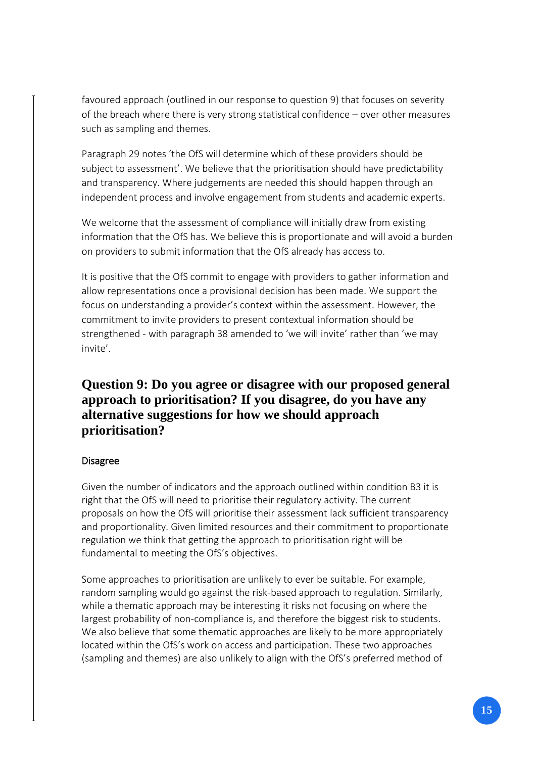favoured approach (outlined in our response to question 9) that focuses on severity of the breach where there is very strong statistical confidence – over other measures such as sampling and themes.

Paragraph 29 notes 'the OfS will determine which of these providers should be subject to assessment'. We believe that the prioritisation should have predictability and transparency. Where judgements are needed this should happen through an independent process and involve engagement from students and academic experts.

We welcome that the assessment of compliance will initially draw from existing information that the OfS has. We believe this is proportionate and will avoid a burden on providers to submit information that the OfS already has access to.

It is positive that the OfS commit to engage with providers to gather information and allow representations once a provisional decision has been made. We support the focus on understanding a provider's context within the assessment. However, the commitment to invite providers to present contextual information should be strengthened - with paragraph 38 amended to 'we will invite' rather than 'we may invite'.

## **Question 9: Do you agree or disagree with our proposed general approach to prioritisation? If you disagree, do you have any alternative suggestions for how we should approach prioritisation?**

### Disagree

Given the number of indicators and the approach outlined within condition B3 it is right that the OfS will need to prioritise their regulatory activity. The current proposals on how the OfS will prioritise their assessment lack sufficient transparency and proportionality. Given limited resources and their commitment to proportionate regulation we think that getting the approach to prioritisation right will be fundamental to meeting the OfS's objectives.

Some approaches to prioritisation are unlikely to ever be suitable. For example, random sampling would go against the risk-based approach to regulation. Similarly, while a thematic approach may be interesting it risks not focusing on where the largest probability of non-compliance is, and therefore the biggest risk to students. We also believe that some thematic approaches are likely to be more appropriately located within the OfS's work on access and participation. These two approaches (sampling and themes) are also unlikely to align with the OfS's preferred method of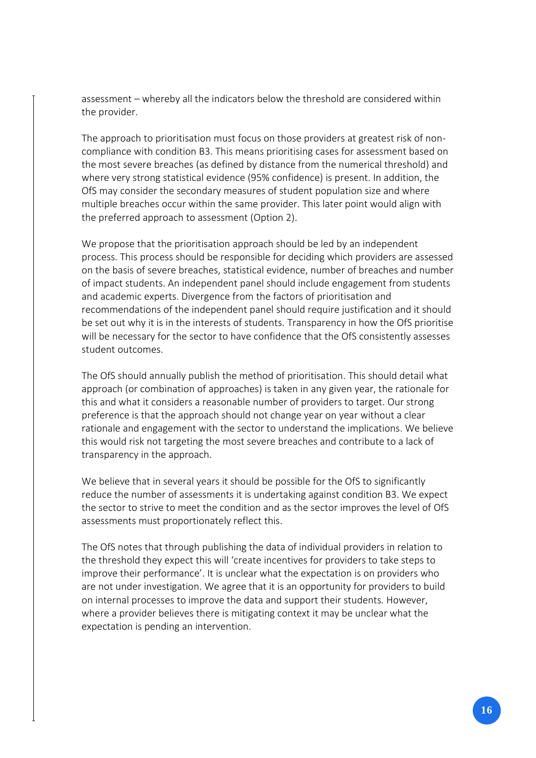assessment – whereby all the indicators below the threshold are considered within the provider.

The approach to prioritisation must focus on those providers at greatest risk of noncompliance with condition B3. This means prioritising cases for assessment based on the most severe breaches (as defined by distance from the numerical threshold) and where very strong statistical evidence (95% confidence) is present. In addition, the OfS may consider the secondary measures of student population size and where multiple breaches occur within the same provider. This later point would align with the preferred approach to assessment (Option 2).

We propose that the prioritisation approach should be led by an independent process. This process should be responsible for deciding which providers are assessed on the basis of severe breaches, statistical evidence, number of breaches and number of impact students. An independent panel should include engagement from students and academic experts. Divergence from the factors of prioritisation and recommendations of the independent panel should require justification and it should be set out why it is in the interests of students. Transparency in how the OfS prioritise will be necessary for the sector to have confidence that the OfS consistently assesses student outcomes.

The OfS should annually publish the method of prioritisation. This should detail what approach (or combination of approaches) is taken in any given year, the rationale for this and what it considers a reasonable number of providers to target. Our strong preference is that the approach should not change year on year without a clear rationale and engagement with the sector to understand the implications. We believe this would risk not targeting the most severe breaches and contribute to a lack of transparency in the approach.

We believe that in several years it should be possible for the OfS to significantly reduce the number of assessments it is undertaking against condition B3. We expect the sector to strive to meet the condition and as the sector improves the level of OfS assessments must proportionately reflect this.

The OfS notes that through publishing the data of individual providers in relation to the threshold they expect this will 'create incentives for providers to take steps to improve their performance'. It is unclear what the expectation is on providers who are not under investigation. We agree that it is an opportunity for providers to build on internal processes to improve the data and support their students. However, where a provider believes there is mitigating context it may be unclear what the expectation is pending an intervention.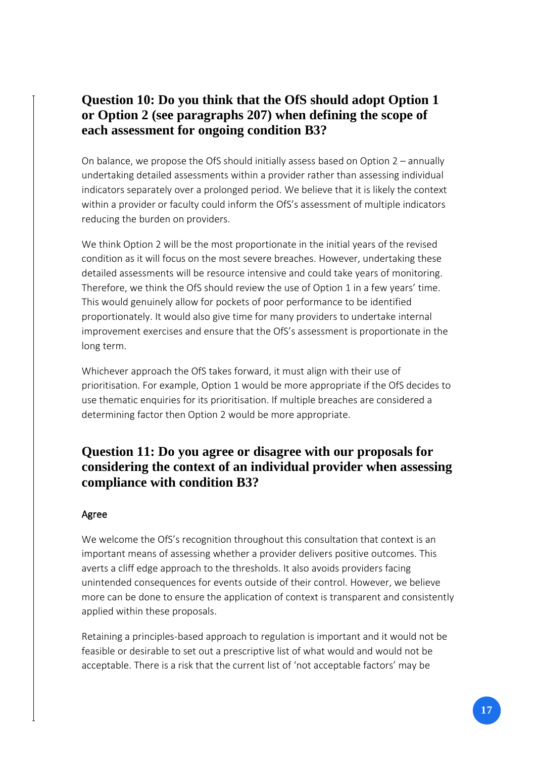## **Question 10: Do you think that the OfS should adopt Option 1 or Option 2 (see paragraphs 207) when defining the scope of each assessment for ongoing condition B3?**

On balance, we propose the OfS should initially assess based on Option 2 – annually undertaking detailed assessments within a provider rather than assessing individual indicators separately over a prolonged period. We believe that it is likely the context within a provider or faculty could inform the OfS's assessment of multiple indicators reducing the burden on providers.

We think Option 2 will be the most proportionate in the initial years of the revised condition as it will focus on the most severe breaches. However, undertaking these detailed assessments will be resource intensive and could take years of monitoring. Therefore, we think the OfS should review the use of Option 1 in a few years' time. This would genuinely allow for pockets of poor performance to be identified proportionately. It would also give time for many providers to undertake internal improvement exercises and ensure that the OfS's assessment is proportionate in the long term.

Whichever approach the OfS takes forward, it must align with their use of prioritisation. For example, Option 1 would be more appropriate if the OfS decides to use thematic enquiries for its prioritisation. If multiple breaches are considered a determining factor then Option 2 would be more appropriate.

## **Question 11: Do you agree or disagree with our proposals for considering the context of an individual provider when assessing compliance with condition B3?**

### Agree

We welcome the OfS's recognition throughout this consultation that context is an important means of assessing whether a provider delivers positive outcomes. This averts a cliff edge approach to the thresholds. It also avoids providers facing unintended consequences for events outside of their control. However, we believe more can be done to ensure the application of context is transparent and consistently applied within these proposals.

Retaining a principles-based approach to regulation is important and it would not be feasible or desirable to set out a prescriptive list of what would and would not be acceptable. There is a risk that the current list of 'not acceptable factors' may be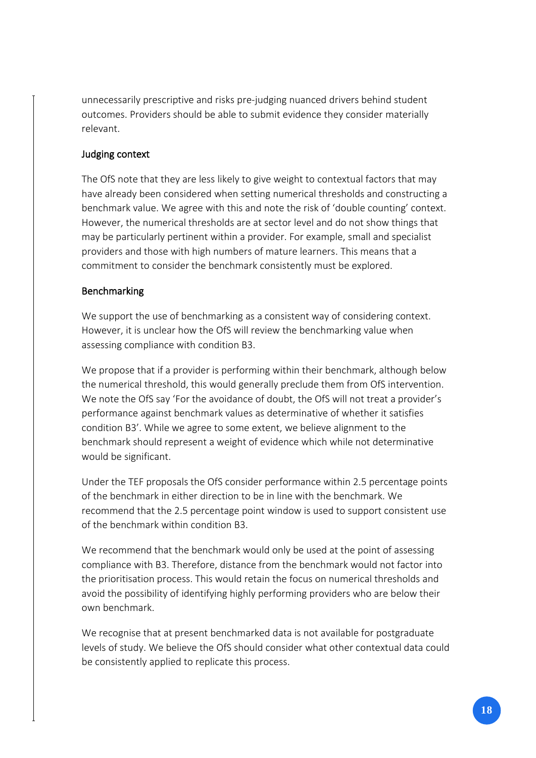unnecessarily prescriptive and risks pre-judging nuanced drivers behind student outcomes. Providers should be able to submit evidence they consider materially relevant.

### Judging context

The OfS note that they are less likely to give weight to contextual factors that may have already been considered when setting numerical thresholds and constructing a benchmark value. We agree with this and note the risk of 'double counting' context. However, the numerical thresholds are at sector level and do not show things that may be particularly pertinent within a provider. For example, small and specialist providers and those with high numbers of mature learners. This means that a commitment to consider the benchmark consistently must be explored.

### Benchmarking

We support the use of benchmarking as a consistent way of considering context. However, it is unclear how the OfS will review the benchmarking value when assessing compliance with condition B3.

We propose that if a provider is performing within their benchmark, although below the numerical threshold, this would generally preclude them from OfS intervention. We note the OfS say 'For the avoidance of doubt, the OfS will not treat a provider's performance against benchmark values as determinative of whether it satisfies condition B3'. While we agree to some extent, we believe alignment to the benchmark should represent a weight of evidence which while not determinative would be significant.

Under the TEF proposals the OfS consider performance within 2.5 percentage points of the benchmark in either direction to be in line with the benchmark. We recommend that the 2.5 percentage point window is used to support consistent use of the benchmark within condition B3.

We recommend that the benchmark would only be used at the point of assessing compliance with B3. Therefore, distance from the benchmark would not factor into the prioritisation process. This would retain the focus on numerical thresholds and avoid the possibility of identifying highly performing providers who are below their own benchmark.

We recognise that at present benchmarked data is not available for postgraduate levels of study. We believe the OfS should consider what other contextual data could be consistently applied to replicate this process.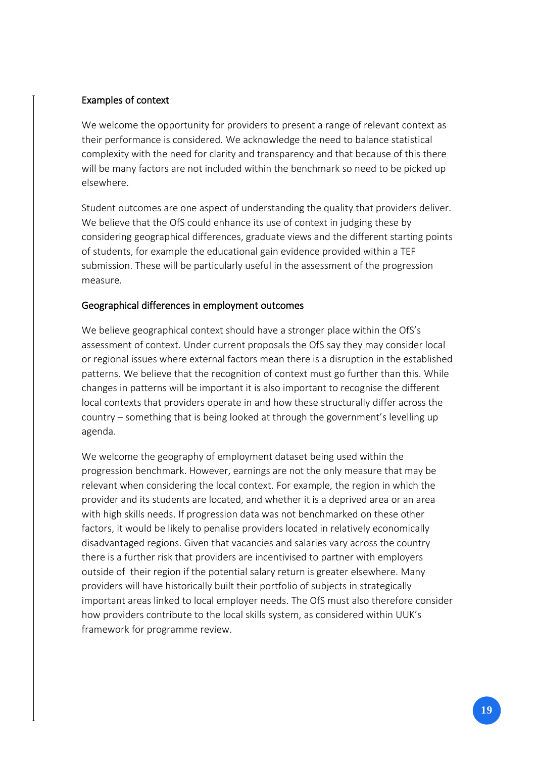### Examples of context

We welcome the opportunity for providers to present a range of relevant context as their performance is considered. We acknowledge the need to balance statistical complexity with the need for clarity and transparency and that because of this there will be many factors are not included within the benchmark so need to be picked up elsewhere.

Student outcomes are one aspect of understanding the quality that providers deliver. We believe that the OfS could enhance its use of context in judging these by considering geographical differences, graduate views and the different starting points of students, for example the educational gain evidence provided within a TEF submission. These will be particularly useful in the assessment of the progression measure.

### Geographical differences in employment outcomes

We believe geographical context should have a stronger place within the OfS's assessment of context. Under current proposals the OfS say they may consider local or regional issues where external factors mean there is a disruption in the established patterns. We believe that the recognition of context must go further than this. While changes in patterns will be important it is also important to recognise the different local contexts that providers operate in and how these structurally differ across the country – something that is being looked at through the government's levelling up agenda.

We welcome the geography of employment dataset being used within the progression benchmark. However, earnings are not the only measure that may be relevant when considering the local context. For example, the region in which the provider and its students are located, and whether it is a deprived area or an area with high skills needs. If progression data was not benchmarked on these other factors, it would be likely to penalise providers located in relatively economically disadvantaged regions. Given that vacancies and salaries vary across the country there is a further risk that providers are incentivised to partner with employers outside of their region if the potential salary return is greater elsewhere. Many providers will have historically built their portfolio of subjects in strategically important areas linked to local employer needs. The OfS must also therefore consider how providers contribute to the local skills system, as considered within UUK's framework for programme review.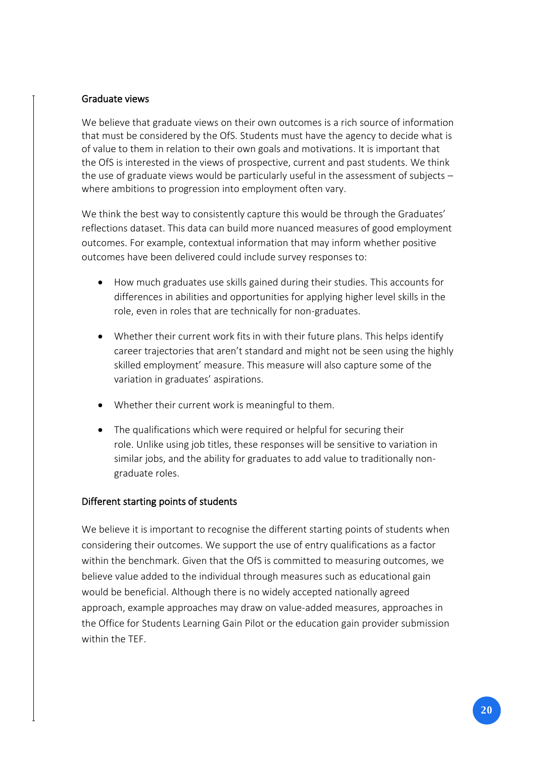### Graduate views

We believe that graduate views on their own outcomes is a rich source of information that must be considered by the OfS. Students must have the agency to decide what is of value to them in relation to their own goals and motivations. It is important that the OfS is interested in the views of prospective, current and past students. We think the use of graduate views would be particularly useful in the assessment of subjects – where ambitions to progression into employment often vary.

We think the best way to consistently capture this would be through the Graduates' reflections dataset. This data can build more nuanced measures of good employment outcomes. For example, contextual information that may inform whether positive outcomes have been delivered could include survey responses to:

- How much graduates use skills gained during their studies. This accounts for differences in abilities and opportunities for applying higher level skills in the role, even in roles that are technically for non-graduates.
- Whether their current work fits in with their future plans. This helps identify career trajectories that aren't standard and might not be seen using the highly skilled employment' measure. This measure will also capture some of the variation in graduates' aspirations.
- Whether their current work is meaningful to them.
- The qualifications which were required or helpful for securing their role. Unlike using job titles, these responses will be sensitive to variation in similar jobs, and the ability for graduates to add value to traditionally nongraduate roles.

## Different starting points of students

We believe it is important to recognise the different starting points of students when considering their outcomes. We support the use of entry qualifications as a factor within the benchmark. Given that the OfS is committed to measuring outcomes, we believe value added to the individual through measures such as educational gain would be beneficial. Although there is no widely accepted nationally agreed approach, example approaches may draw on value-added measures, approaches in the Office for Students Learning Gain Pilot or the education gain provider submission within the TEF.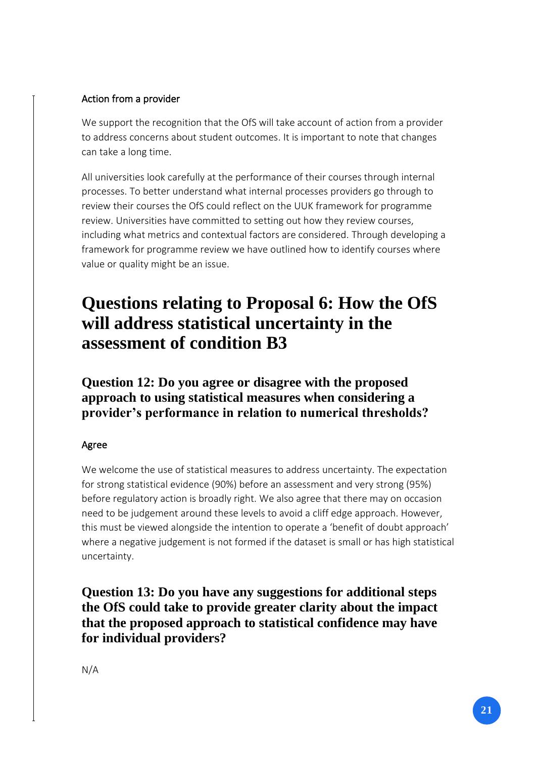## Action from a provider

We support the recognition that the OfS will take account of action from a provider to address concerns about student outcomes. It is important to note that changes can take a long time.

All universities look carefully at the performance of their courses through internal processes. To better understand what internal processes providers go through to review their courses the OfS could reflect on the UUK framework for programme review. Universities have committed to setting out how they review courses, including what metrics and contextual factors are considered. Through developing a framework for programme review we have outlined how to identify courses where value or quality might be an issue.

## **Questions relating to Proposal 6: How the OfS will address statistical uncertainty in the assessment of condition B3**

**Question 12: Do you agree or disagree with the proposed approach to using statistical measures when considering a provider's performance in relation to numerical thresholds?**

## Agree

We welcome the use of statistical measures to address uncertainty. The expectation for strong statistical evidence (90%) before an assessment and very strong (95%) before regulatory action is broadly right. We also agree that there may on occasion need to be judgement around these levels to avoid a cliff edge approach. However, this must be viewed alongside the intention to operate a 'benefit of doubt approach' where a negative judgement is not formed if the dataset is small or has high statistical uncertainty.

**Question 13: Do you have any suggestions for additional steps the OfS could take to provide greater clarity about the impact that the proposed approach to statistical confidence may have for individual providers?**

N/A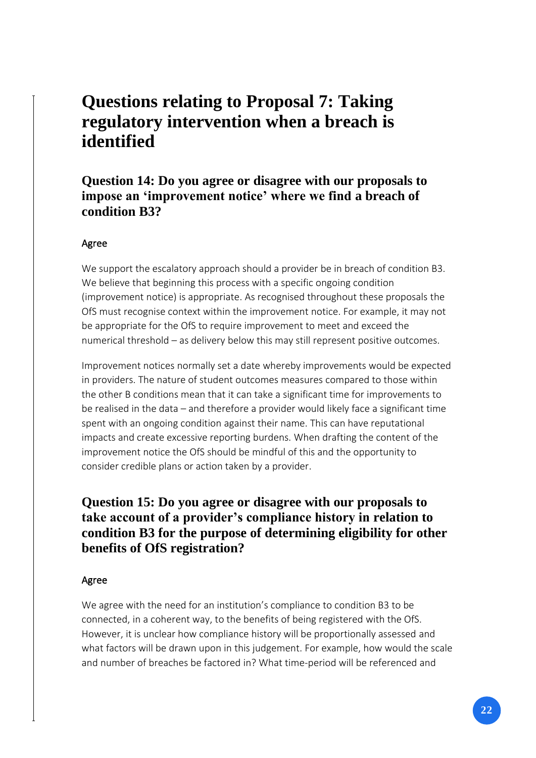## **Questions relating to Proposal 7: Taking regulatory intervention when a breach is identified**

**Question 14: Do you agree or disagree with our proposals to impose an 'improvement notice' where we find a breach of condition B3?**

### Agree

We support the escalatory approach should a provider be in breach of condition B3. We believe that beginning this process with a specific ongoing condition (improvement notice) is appropriate. As recognised throughout these proposals the OfS must recognise context within the improvement notice. For example, it may not be appropriate for the OfS to require improvement to meet and exceed the numerical threshold – as delivery below this may still represent positive outcomes.

Improvement notices normally set a date whereby improvements would be expected in providers. The nature of student outcomes measures compared to those within the other B conditions mean that it can take a significant time for improvements to be realised in the data – and therefore a provider would likely face a significant time spent with an ongoing condition against their name. This can have reputational impacts and create excessive reporting burdens. When drafting the content of the improvement notice the OfS should be mindful of this and the opportunity to consider credible plans or action taken by a provider.

## **Question 15: Do you agree or disagree with our proposals to take account of a provider's compliance history in relation to condition B3 for the purpose of determining eligibility for other benefits of OfS registration?**

### Agree

We agree with the need for an institution's compliance to condition B3 to be connected, in a coherent way, to the benefits of being registered with the OfS. However, it is unclear how compliance history will be proportionally assessed and what factors will be drawn upon in this judgement. For example, how would the scale and number of breaches be factored in? What time-period will be referenced and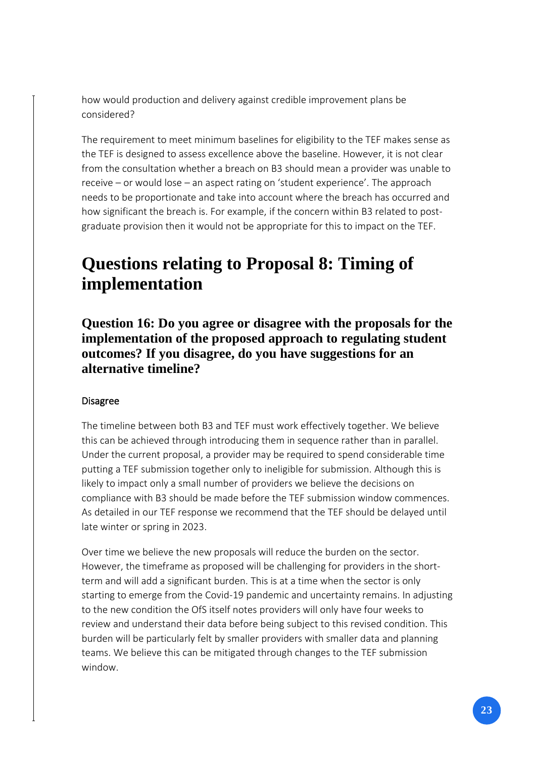how would production and delivery against credible improvement plans be considered?

The requirement to meet minimum baselines for eligibility to the TEF makes sense as the TEF is designed to assess excellence above the baseline. However, it is not clear from the consultation whether a breach on B3 should mean a provider was unable to receive – or would lose – an aspect rating on 'student experience'. The approach needs to be proportionate and take into account where the breach has occurred and how significant the breach is. For example, if the concern within B3 related to postgraduate provision then it would not be appropriate for this to impact on the TEF.

## **Questions relating to Proposal 8: Timing of implementation**

**Question 16: Do you agree or disagree with the proposals for the implementation of the proposed approach to regulating student outcomes? If you disagree, do you have suggestions for an alternative timeline?**

### Disagree

The timeline between both B3 and TEF must work effectively together. We believe this can be achieved through introducing them in sequence rather than in parallel. Under the current proposal, a provider may be required to spend considerable time putting a TEF submission together only to ineligible for submission. Although this is likely to impact only a small number of providers we believe the decisions on compliance with B3 should be made before the TEF submission window commences. As detailed in our TEF response we recommend that the TEF should be delayed until late winter or spring in 2023.

Over time we believe the new proposals will reduce the burden on the sector. However, the timeframe as proposed will be challenging for providers in the shortterm and will add a significant burden. This is at a time when the sector is only starting to emerge from the Covid-19 pandemic and uncertainty remains. In adjusting to the new condition the OfS itself notes providers will only have four weeks to review and understand their data before being subject to this revised condition. This burden will be particularly felt by smaller providers with smaller data and planning teams. We believe this can be mitigated through changes to the TEF submission window.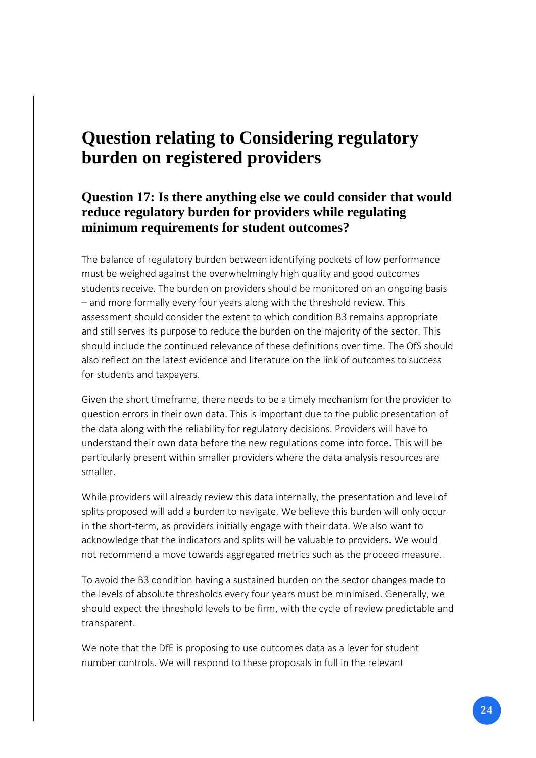## **Question relating to Considering regulatory burden on registered providers**

## **Question 17: Is there anything else we could consider that would reduce regulatory burden for providers while regulating minimum requirements for student outcomes?**

The balance of regulatory burden between identifying pockets of low performance must be weighed against the overwhelmingly high quality and good outcomes students receive. The burden on providers should be monitored on an ongoing basis – and more formally every four years along with the threshold review. This assessment should consider the extent to which condition B3 remains appropriate and still serves its purpose to reduce the burden on the majority of the sector. This should include the continued relevance of these definitions over time. The OfS should also reflect on the latest evidence and literature on the link of outcomes to success for students and taxpayers.

Given the short timeframe, there needs to be a timely mechanism for the provider to question errors in their own data. This is important due to the public presentation of the data along with the reliability for regulatory decisions. Providers will have to understand their own data before the new regulations come into force. This will be particularly present within smaller providers where the data analysis resources are smaller.

While providers will already review this data internally, the presentation and level of splits proposed will add a burden to navigate. We believe this burden will only occur in the short-term, as providers initially engage with their data. We also want to acknowledge that the indicators and splits will be valuable to providers. We would not recommend a move towards aggregated metrics such as the proceed measure.

To avoid the B3 condition having a sustained burden on the sector changes made to the levels of absolute thresholds every four years must be minimised. Generally, we should expect the threshold levels to be firm, with the cycle of review predictable and transparent.

We note that the DfE is proposing to use outcomes data as a lever for student number controls. We will respond to these proposals in full in the relevant